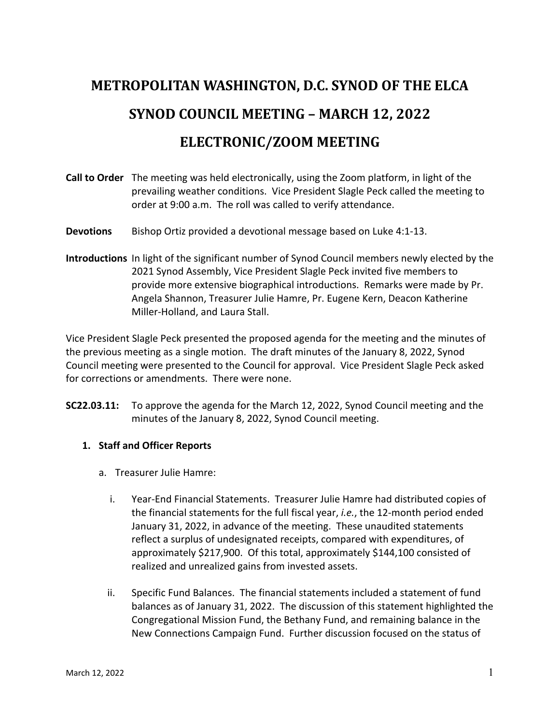# **METROPOLITAN WASHINGTON, D.C. SYNOD OF THE ELCA SYNOD COUNCIL MEETING - MARCH 12, 2022 ELECTRONIC/ZOOM MEETING**

- **Call to Order** The meeting was held electronically, using the Zoom platform, in light of the prevailing weather conditions. Vice President Slagle Peck called the meeting to order at 9:00 a.m. The roll was called to verify attendance.
- **Devotions** Bishop Ortiz provided a devotional message based on Luke 4:1-13.
- **Introductions** In light of the significant number of Synod Council members newly elected by the 2021 Synod Assembly, Vice President Slagle Peck invited five members to provide more extensive biographical introductions. Remarks were made by Pr. Angela Shannon, Treasurer Julie Hamre, Pr. Eugene Kern, Deacon Katherine Miller-Holland, and Laura Stall.

Vice President Slagle Peck presented the proposed agenda for the meeting and the minutes of the previous meeting as a single motion. The draft minutes of the January 8, 2022, Synod Council meeting were presented to the Council for approval. Vice President Slagle Peck asked for corrections or amendments. There were none.

**SC22.03.11:** To approve the agenda for the March 12, 2022, Synod Council meeting and the minutes of the January 8, 2022, Synod Council meeting.

## **1. Staff and Officer Reports**

- a. Treasurer Julie Hamre:
	- i. Year-End Financial Statements. Treasurer Julie Hamre had distributed copies of the financial statements for the full fiscal year, *i.e.*, the 12-month period ended January 31, 2022, in advance of the meeting. These unaudited statements reflect a surplus of undesignated receipts, compared with expenditures, of approximately \$217,900. Of this total, approximately \$144,100 consisted of realized and unrealized gains from invested assets.
	- ii. Specific Fund Balances. The financial statements included a statement of fund balances as of January 31, 2022. The discussion of this statement highlighted the Congregational Mission Fund, the Bethany Fund, and remaining balance in the New Connections Campaign Fund. Further discussion focused on the status of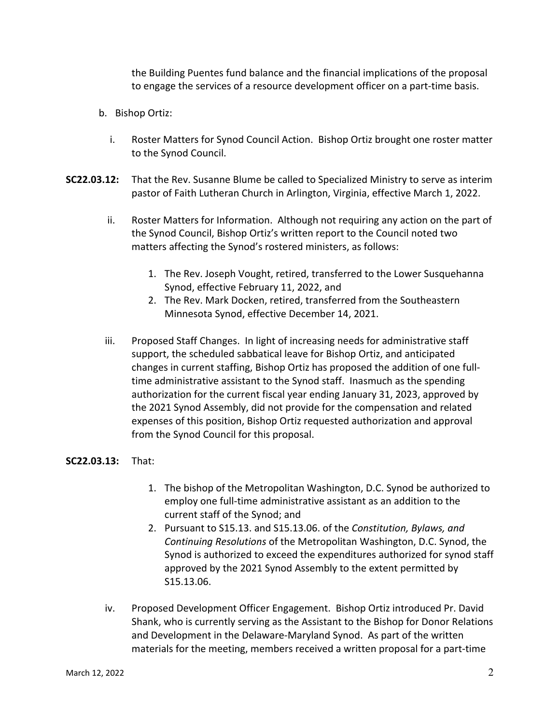the Building Puentes fund balance and the financial implications of the proposal to engage the services of a resource development officer on a part-time basis.

- b. Bishop Ortiz:
	- i. Roster Matters for Synod Council Action. Bishop Ortiz brought one roster matter to the Synod Council.
- **SC22.03.12:** That the Rev. Susanne Blume be called to Specialized Ministry to serve as interim pastor of Faith Lutheran Church in Arlington, Virginia, effective March 1, 2022.
	- ii. Roster Matters for Information. Although not requiring any action on the part of the Synod Council, Bishop Ortiz's written report to the Council noted two matters affecting the Synod's rostered ministers, as follows:
		- 1. The Rev. Joseph Vought, retired, transferred to the Lower Susquehanna Synod, effective February 11, 2022, and
		- 2. The Rev. Mark Docken, retired, transferred from the Southeastern Minnesota Synod, effective December 14, 2021.
	- iii. Proposed Staff Changes. In light of increasing needs for administrative staff support, the scheduled sabbatical leave for Bishop Ortiz, and anticipated changes in current staffing, Bishop Ortiz has proposed the addition of one fulltime administrative assistant to the Synod staff. Inasmuch as the spending authorization for the current fiscal year ending January 31, 2023, approved by the 2021 Synod Assembly, did not provide for the compensation and related expenses of this position, Bishop Ortiz requested authorization and approval from the Synod Council for this proposal.

#### **SC22.03.13:** That:

- 1. The bishop of the Metropolitan Washington, D.C. Synod be authorized to employ one full-time administrative assistant as an addition to the current staff of the Synod; and
- 2. Pursuant to S15.13. and S15.13.06. of the *Constitution, Bylaws, and Continuing Resolutions* of the Metropolitan Washington, D.C. Synod, the Synod is authorized to exceed the expenditures authorized for synod staff approved by the 2021 Synod Assembly to the extent permitted by S15.13.06.
- iv. Proposed Development Officer Engagement. Bishop Ortiz introduced Pr. David Shank, who is currently serving as the Assistant to the Bishop for Donor Relations and Development in the Delaware-Maryland Synod. As part of the written materials for the meeting, members received a written proposal for a part-time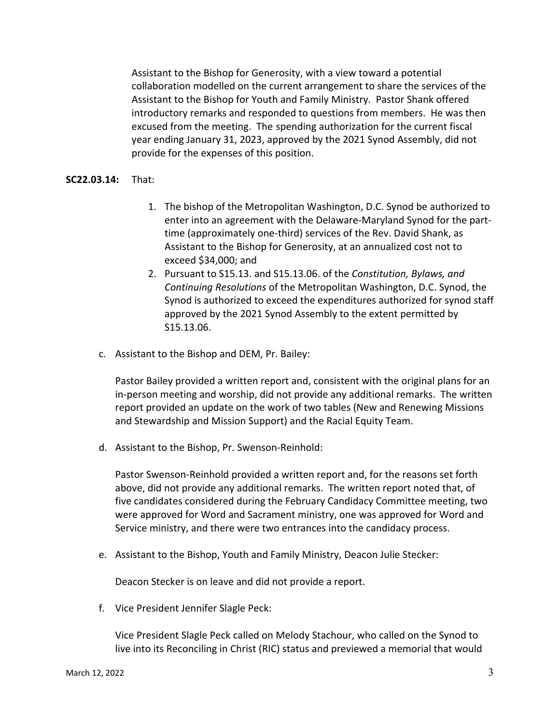Assistant to the Bishop for Generosity, with a view toward a potential collaboration modelled on the current arrangement to share the services of the Assistant to the Bishop for Youth and Family Ministry. Pastor Shank offered introductory remarks and responded to questions from members. He was then excused from the meeting. The spending authorization for the current fiscal year ending January 31, 2023, approved by the 2021 Synod Assembly, did not provide for the expenses of this position.

#### **SC22.03.14:** That:

- 1. The bishop of the Metropolitan Washington, D.C. Synod be authorized to enter into an agreement with the Delaware-Maryland Synod for the parttime (approximately one-third) services of the Rev. David Shank, as Assistant to the Bishop for Generosity, at an annualized cost not to exceed \$34,000; and
- 2. Pursuant to S15.13. and S15.13.06. of the *Constitution, Bylaws, and Continuing Resolutions* of the Metropolitan Washington, D.C. Synod, the Synod is authorized to exceed the expenditures authorized for synod staff approved by the 2021 Synod Assembly to the extent permitted by S15.13.06.
- c. Assistant to the Bishop and DEM, Pr. Bailey:

Pastor Bailey provided a written report and, consistent with the original plans for an in-person meeting and worship, did not provide any additional remarks. The written report provided an update on the work of two tables (New and Renewing Missions and Stewardship and Mission Support) and the Racial Equity Team.

d. Assistant to the Bishop, Pr. Swenson-Reinhold:

Pastor Swenson-Reinhold provided a written report and, for the reasons set forth above, did not provide any additional remarks. The written report noted that, of five candidates considered during the February Candidacy Committee meeting, two were approved for Word and Sacrament ministry, one was approved for Word and Service ministry, and there were two entrances into the candidacy process.

e. Assistant to the Bishop, Youth and Family Ministry, Deacon Julie Stecker:

Deacon Stecker is on leave and did not provide a report.

f. Vice President Jennifer Slagle Peck:

Vice President Slagle Peck called on Melody Stachour, who called on the Synod to live into its Reconciling in Christ (RIC) status and previewed a memorial that would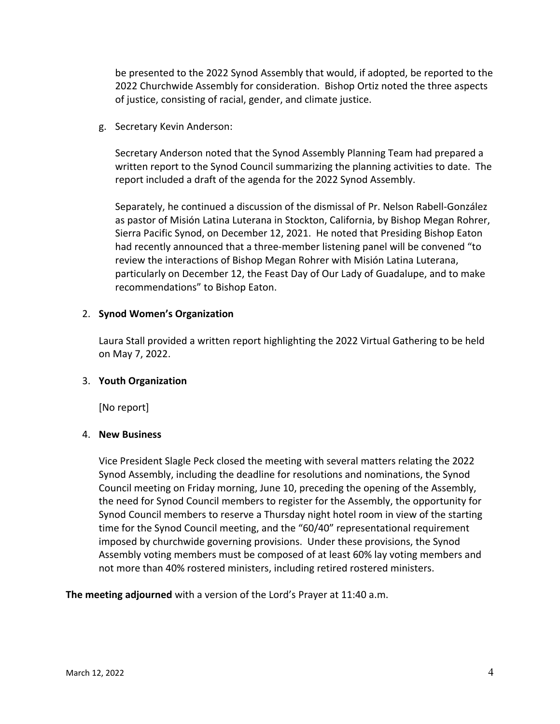be presented to the 2022 Synod Assembly that would, if adopted, be reported to the 2022 Churchwide Assembly for consideration. Bishop Ortiz noted the three aspects of justice, consisting of racial, gender, and climate justice.

g. Secretary Kevin Anderson:

Secretary Anderson noted that the Synod Assembly Planning Team had prepared a written report to the Synod Council summarizing the planning activities to date. The report included a draft of the agenda for the 2022 Synod Assembly.

Separately, he continued a discussion of the dismissal of Pr. Nelson Rabell-González as pastor of Misión Latina Luterana in Stockton, California, by Bishop Megan Rohrer, Sierra Pacific Synod, on December 12, 2021. He noted that Presiding Bishop Eaton had recently announced that a three-member listening panel will be convened "to review the interactions of Bishop Megan Rohrer with Misión Latina Luterana, particularly on December 12, the Feast Day of Our Lady of Guadalupe, and to make recommendations" to Bishop Eaton.

## 2. **Synod Women's Organization**

Laura Stall provided a written report highlighting the 2022 Virtual Gathering to be held on May 7, 2022.

## 3. **Youth Organization**

[No report]

## 4. **New Business**

Vice President Slagle Peck closed the meeting with several matters relating the 2022 Synod Assembly, including the deadline for resolutions and nominations, the Synod Council meeting on Friday morning, June 10, preceding the opening of the Assembly, the need for Synod Council members to register for the Assembly, the opportunity for Synod Council members to reserve a Thursday night hotel room in view of the starting time for the Synod Council meeting, and the "60/40" representational requirement imposed by churchwide governing provisions. Under these provisions, the Synod Assembly voting members must be composed of at least 60% lay voting members and not more than 40% rostered ministers, including retired rostered ministers.

**The meeting adjourned** with a version of the Lord's Prayer at 11:40 a.m.